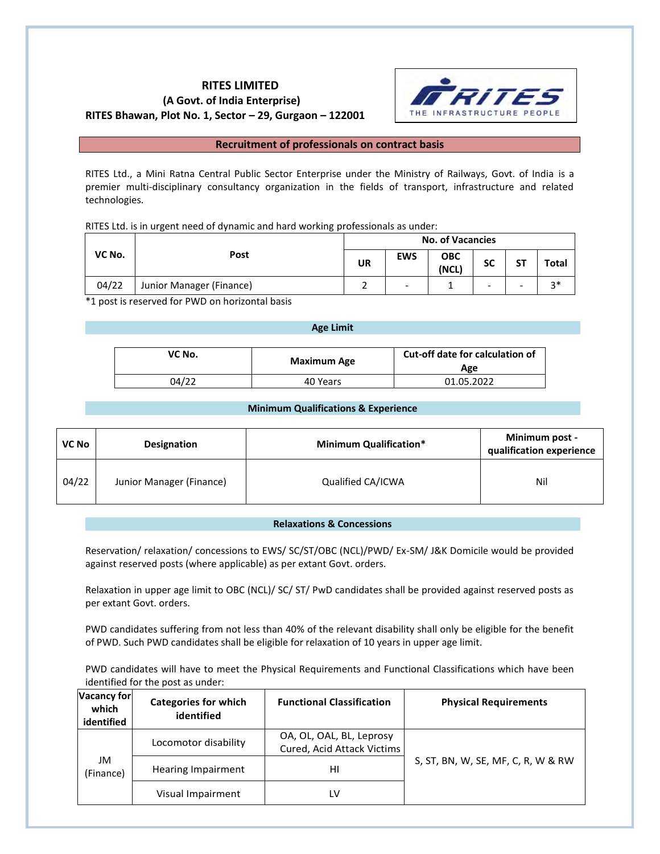# **RITES LIMITED (A Govt. of India Enterprise) RITES Bhawan, Plot No. 1, Sector – 29, Gurgaon – 122001**



# **Recruitment of professionals on contract basis**

RITES Ltd., a Mini Ratna Central Public Sector Enterprise under the Ministry of Railways, Govt. of India is a premier multi-disciplinary consultancy organization in the fields of transport, infrastructure and related technologies.

RITES Ltd. is in urgent need of dynamic and hard working professionals as under:

|        |                          | <b>No. of Vacancies</b> |                          |                     |                          |                          |       |
|--------|--------------------------|-------------------------|--------------------------|---------------------|--------------------------|--------------------------|-------|
| VC No. | Post                     | <b>UR</b>               | <b>EWS</b>               | <b>OBC</b><br>(NCL) | <b>SC</b>                | SΤ                       | Total |
| 04/22  | Junior Manager (Finance) |                         | $\overline{\phantom{a}}$ |                     | $\overline{\phantom{a}}$ | $\overline{\phantom{a}}$ | $2*$  |

\*1 post is reserved for PWD on horizontal basis

#### **Age Limit**

| VC No. | <b>Maximum Age</b> | Cut-off date for calculation of<br>Age |  |
|--------|--------------------|----------------------------------------|--|
| 04/22  | 40 Years           | 01.05.2022                             |  |

# **Minimum Qualifications & Experience**

| <b>VC No</b> | Designation              | <b>Minimum Qualification*</b> | Minimum post -<br>qualification experience |
|--------------|--------------------------|-------------------------------|--------------------------------------------|
| 04/22        | Junior Manager (Finance) | Qualified CA/ICWA             | Nil                                        |

# **Relaxations & Concessions**

Reservation/ relaxation/ concessions to EWS/ SC/ST/OBC (NCL)/PWD/ Ex-SM/ J&K Domicile would be provided against reserved posts (where applicable) as per extant Govt. orders.

Relaxation in upper age limit to OBC (NCL)/ SC/ ST/ PwD candidates shall be provided against reserved posts as per extant Govt. orders.

PWD candidates suffering from not less than 40% of the relevant disability shall only be eligible for the benefit of PWD. Such PWD candidates shall be eligible for relaxation of 10 years in upper age limit.

PWD candidates will have to meet the Physical Requirements and Functional Classifications which have been identified for the post as under:

| <b>Vacancy for</b><br>which<br>identified | <b>Categories for which</b><br>identified | <b>Functional Classification</b>                       | <b>Physical Requirements</b>       |
|-------------------------------------------|-------------------------------------------|--------------------------------------------------------|------------------------------------|
|                                           | Locomotor disability                      | OA, OL, OAL, BL, Leprosy<br>Cured, Acid Attack Victims |                                    |
| JM<br>(Finance)                           | Hearing Impairment                        | нı                                                     | S, ST, BN, W, SE, MF, C, R, W & RW |
|                                           | Visual Impairment                         | LV                                                     |                                    |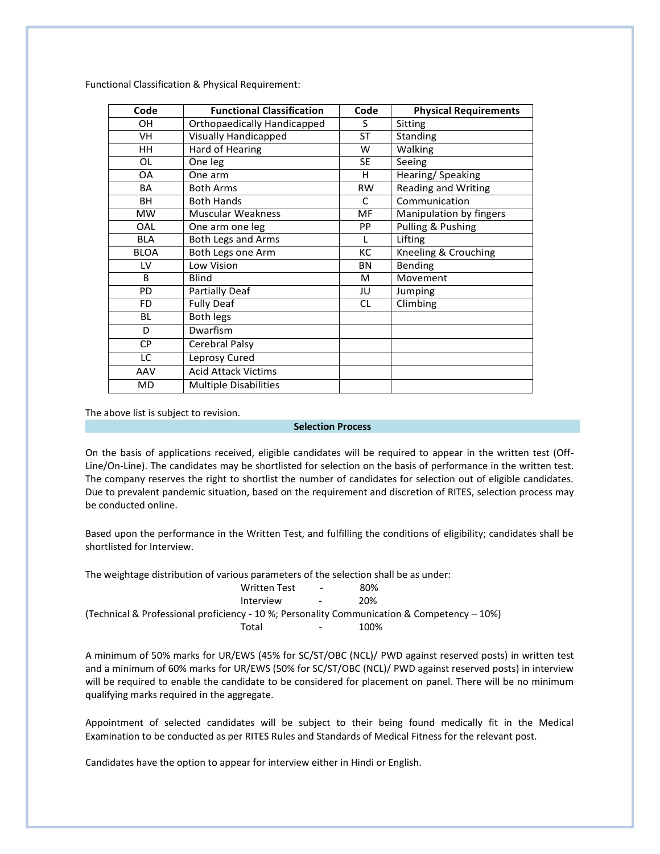Functional Classification & Physical Requirement:

| Code        | <b>Functional Classification</b> | Code      | <b>Physical Requirements</b> |
|-------------|----------------------------------|-----------|------------------------------|
| 0H          | Orthopaedically Handicapped      | S         | Sitting                      |
| VH.         | <b>Visually Handicapped</b>      | <b>ST</b> | Standing                     |
| HН          | Hard of Hearing                  | W         | Walking                      |
| OL          | One leg                          | SE.       | Seeing                       |
| 0A          | One arm                          | H         | Hearing/Speaking             |
| BA          | <b>Both Arms</b>                 | <b>RW</b> | <b>Reading and Writing</b>   |
| BН          | <b>Both Hands</b>                | C         | Communication                |
| <b>MW</b>   | <b>Muscular Weakness</b>         | MF        | Manipulation by fingers      |
| OAL         | One arm one leg                  | <b>PP</b> | Pulling & Pushing            |
| BLA         | Both Legs and Arms               |           | Lifting                      |
| <b>BLOA</b> | Both Legs one Arm                | КC        | Kneeling & Crouching         |
| LV          | Low Vision                       | BN        | Bending                      |
| B           | <b>Blind</b>                     | М         | Movement                     |
| PD.         | <b>Partially Deaf</b>            | JU        | Jumping                      |
| <b>FD</b>   | <b>Fully Deaf</b>                | <b>CL</b> | Climbing                     |
| <b>BL</b>   | <b>Both legs</b>                 |           |                              |
| D           | Dwarfism                         |           |                              |
| <b>CP</b>   | Cerebral Palsy                   |           |                              |
| LC          | Leprosy Cured                    |           |                              |
| AAV         | <b>Acid Attack Victims</b>       |           |                              |
| <b>MD</b>   | <b>Multiple Disabilities</b>     |           |                              |

The above list is subject to revision.

#### **Selection Process**

On the basis of applications received, eligible candidates will be required to appear in the written test (Off-Line/On-Line). The candidates may be shortlisted for selection on the basis of performance in the written test. The company reserves the right to shortlist the number of candidates for selection out of eligible candidates. Due to prevalent pandemic situation, based on the requirement and discretion of RITES, selection process may be conducted online.

Based upon the performance in the Written Test, and fulfilling the conditions of eligibility; candidates shall be shortlisted for Interview.

The weightage distribution of various parameters of the selection shall be as under:

| Written Test | $\sim$     | 80%                                                                                            |
|--------------|------------|------------------------------------------------------------------------------------------------|
| Interview    | $\sim$ $-$ | 20%                                                                                            |
|              |            | (Technical & Professional proficiency - 10 %; Personality Communication & Competency $-10\%$ ) |
| Total        | $\sim$     | 100%                                                                                           |

A minimum of 50% marks for UR/EWS (45% for SC/ST/OBC (NCL)/ PWD against reserved posts) in written test and a minimum of 60% marks for UR/EWS (50% for SC/ST/OBC (NCL)/ PWD against reserved posts) in interview will be required to enable the candidate to be considered for placement on panel. There will be no minimum qualifying marks required in the aggregate.

Appointment of selected candidates will be subject to their being found medically fit in the Medical Examination to be conducted as per RITES Rules and Standards of Medical Fitness for the relevant post.

Candidates have the option to appear for interview either in Hindi or English.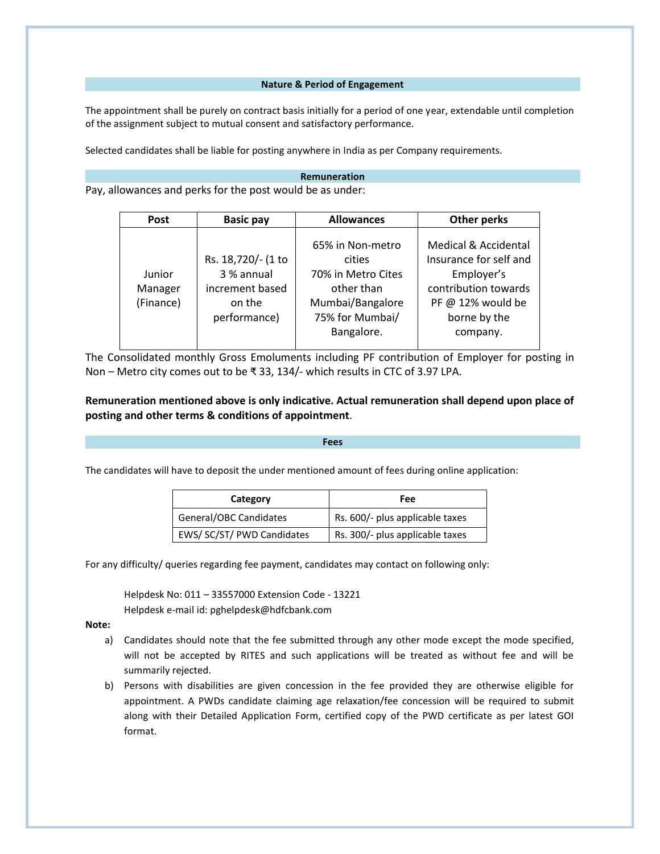## **Nature & Period of Engagement**

The appointment shall be purely on contract basis initially for a period of one year, extendable until completion of the assignment subject to mutual consent and satisfactory performance.

Selected candidates shall be liable for posting anywhere in India as per Company requirements.

## **Remuneration**

Pay, allowances and perks for the post would be as under:

| Post                           | <b>Basic pay</b><br><b>Allowances</b>                                         |                                                                                                                     | Other perks                                                                                                                           |
|--------------------------------|-------------------------------------------------------------------------------|---------------------------------------------------------------------------------------------------------------------|---------------------------------------------------------------------------------------------------------------------------------------|
| Junior<br>Manager<br>(Finance) | Rs. 18,720/- (1 to<br>3 % annual<br>increment based<br>on the<br>performance) | 65% in Non-metro<br>cities<br>70% in Metro Cites<br>other than<br>Mumbai/Bangalore<br>75% for Mumbai/<br>Bangalore. | Medical & Accidental<br>Insurance for self and<br>Employer's<br>contribution towards<br>PF @ 12% would be<br>borne by the<br>company. |

The Consolidated monthly Gross Emoluments including PF contribution of Employer for posting in Non – Metro city comes out to be ₹ 33, 134/- which results in CTC of 3.97 LPA.

# **Remuneration mentioned above is only indicative. Actual remuneration shall depend upon place of posting and other terms & conditions of appointment**.

#### **Fees**

The candidates will have to deposit the under mentioned amount of fees during online application:

| Category                   | Fee                             |  |
|----------------------------|---------------------------------|--|
| General/OBC Candidates     | Rs. 600/- plus applicable taxes |  |
| EWS/ SC/ST/ PWD Candidates | Rs. 300/- plus applicable taxes |  |

For any difficulty/ queries regarding fee payment, candidates may contact on following only:

Helpdesk No: 011 – 33557000 Extension Code - 13221 Helpdesk e-mail id: pghelpdesk@hdfcbank.com

## **Note:**

- a) Candidates should note that the fee submitted through any other mode except the mode specified, will not be accepted by RITES and such applications will be treated as without fee and will be summarily rejected.
- b) Persons with disabilities are given concession in the fee provided they are otherwise eligible for appointment. A PWDs candidate claiming age relaxation/fee concession will be required to submit along with their Detailed Application Form, certified copy of the PWD certificate as per latest GOI format.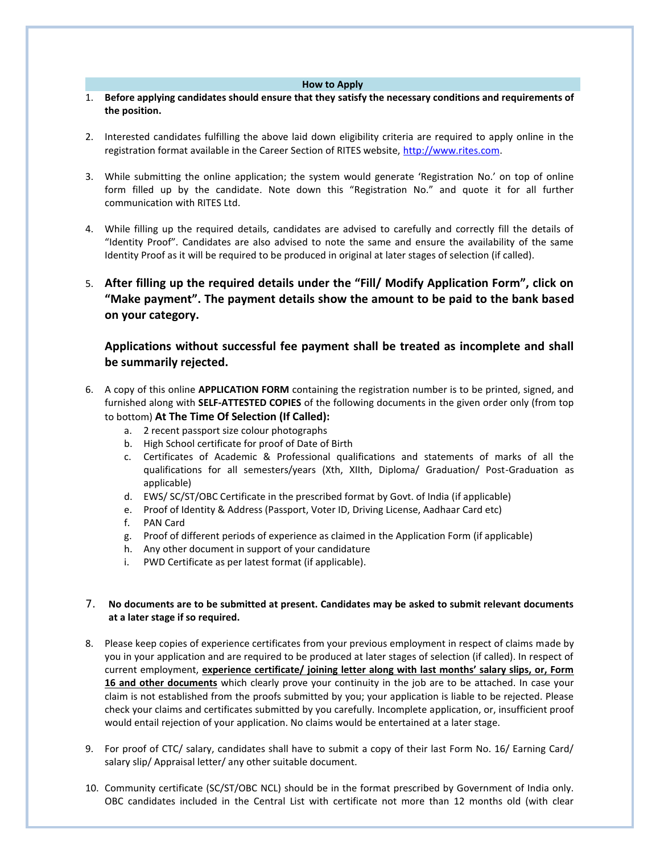#### **How to Apply**

- 1. **Before applying candidates should ensure that they satisfy the necessary conditions and requirements of the position.**
- 2. Interested candidates fulfilling the above laid down eligibility criteria are required to apply online in the registration format available in the Career Section of RITES website, [http://www.rites.com.](http://www.rites.com/)
- 3. While submitting the online application; the system would generate 'Registration No.' on top of online form filled up by the candidate. Note down this "Registration No." and quote it for all further communication with RITES Ltd.
- 4. While filling up the required details, candidates are advised to carefully and correctly fill the details of "Identity Proof". Candidates are also advised to note the same and ensure the availability of the same Identity Proof as it will be required to be produced in original at later stages of selection (if called).
- 5. **After filling up the required details under the "Fill/ Modify Application Form", click on "Make payment". The payment details show the amount to be paid to the bank based on your category.**

# **Applications without successful fee payment shall be treated as incomplete and shall be summarily rejected.**

- 6. A copy of this online **APPLICATION FORM** containing the registration number is to be printed, signed, and furnished along with **SELF-ATTESTED COPIES** of the following documents in the given order only (from top to bottom) **At The Time Of Selection (If Called):**
	- a. 2 recent passport size colour photographs
	- b. High School certificate for proof of Date of Birth
	- c. Certificates of Academic & Professional qualifications and statements of marks of all the qualifications for all semesters/years (Xth, XIIth, Diploma/ Graduation/ Post-Graduation as applicable)
	- d. EWS/ SC/ST/OBC Certificate in the prescribed format by Govt. of India (if applicable)
	- e. Proof of Identity & Address (Passport, Voter ID, Driving License, Aadhaar Card etc)
	- f. PAN Card
	- g. Proof of different periods of experience as claimed in the Application Form (if applicable)
	- h. Any other document in support of your candidature
	- i. PWD Certificate as per latest format (if applicable).

# 7. **No documents are to be submitted at present. Candidates may be asked to submit relevant documents at a later stage if so required.**

- 8. Please keep copies of experience certificates from your previous employment in respect of claims made by you in your application and are required to be produced at later stages of selection (if called). In respect of current employment, **experience certificate/ joining letter along with last months' salary slips, or, Form 16 and other documents** which clearly prove your continuity in the job are to be attached. In case your claim is not established from the proofs submitted by you; your application is liable to be rejected. Please check your claims and certificates submitted by you carefully. Incomplete application, or, insufficient proof would entail rejection of your application. No claims would be entertained at a later stage.
- 9. For proof of CTC/ salary, candidates shall have to submit a copy of their last Form No. 16/ Earning Card/ salary slip/ Appraisal letter/ any other suitable document.
- 10. Community certificate (SC/ST/OBC NCL) should be in the format prescribed by Government of India only. OBC candidates included in the Central List with certificate not more than 12 months old (with clear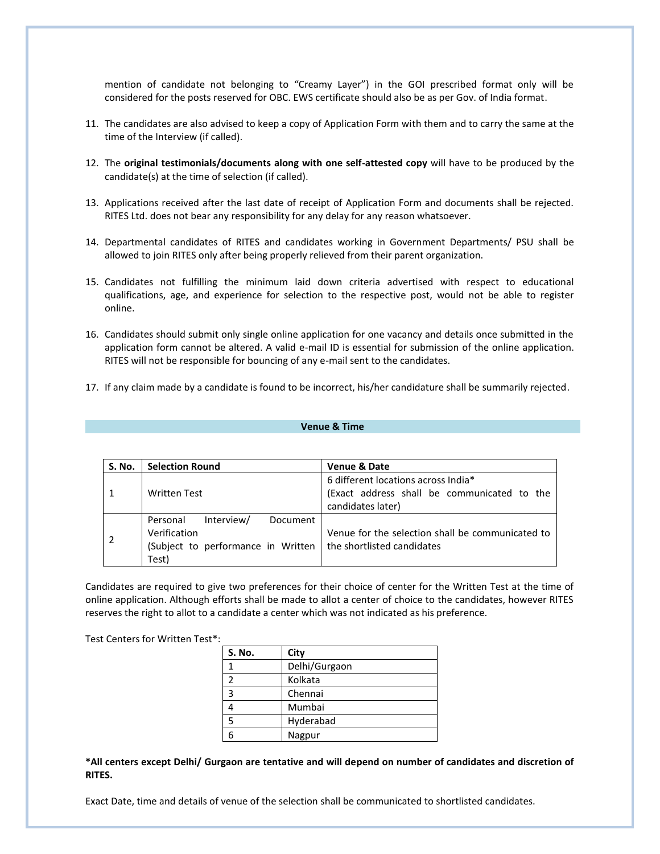mention of candidate not belonging to "Creamy Layer") in the GOI prescribed format only will be considered for the posts reserved for OBC. EWS certificate should also be as per Gov. of India format.

- 11. The candidates are also advised to keep a copy of Application Form with them and to carry the same at the time of the Interview (if called).
- 12. The **original testimonials/documents along with one self-attested copy** will have to be produced by the candidate(s) at the time of selection (if called).
- 13. Applications received after the last date of receipt of Application Form and documents shall be rejected. RITES Ltd. does not bear any responsibility for any delay for any reason whatsoever.
- 14. Departmental candidates of RITES and candidates working in Government Departments/ PSU shall be allowed to join RITES only after being properly relieved from their parent organization.
- 15. Candidates not fulfilling the minimum laid down criteria advertised with respect to educational qualifications, age, and experience for selection to the respective post, would not be able to register online.
- 16. Candidates should submit only single online application for one vacancy and details once submitted in the application form cannot be altered. A valid e-mail ID is essential for submission of the online application. RITES will not be responsible for bouncing of any e-mail sent to the candidates.
- 17. If any claim made by a candidate is found to be incorrect, his/her candidature shall be summarily rejected.

# **Venue & Time**

| S. No. | <b>Selection Round</b>                                                                                                               | <b>Venue &amp; Date</b>                                                                                 |
|--------|--------------------------------------------------------------------------------------------------------------------------------------|---------------------------------------------------------------------------------------------------------|
|        | <b>Written Test</b>                                                                                                                  | 6 different locations across India*<br>(Exact address shall be communicated to the<br>candidates later) |
|        | Interview/<br>Personal<br>Document<br>Verification<br>(Subject to performance in Written $\vert$ the shortlisted candidates<br>Test) | Venue for the selection shall be communicated to                                                        |

Candidates are required to give two preferences for their choice of center for the Written Test at the time of online application. Although efforts shall be made to allot a center of choice to the candidates, however RITES reserves the right to allot to a candidate a center which was not indicated as his preference.

Test Centers for Written Test\*:

| S. No. | City          |
|--------|---------------|
|        | Delhi/Gurgaon |
|        | Kolkata       |
| 3      | Chennai       |
|        | Mumbai        |
| 5      | Hyderabad     |
|        | Nagpur        |

**\*All centers except Delhi/ Gurgaon are tentative and will depend on number of candidates and discretion of RITES.** 

Exact Date, time and details of venue of the selection shall be communicated to shortlisted candidates.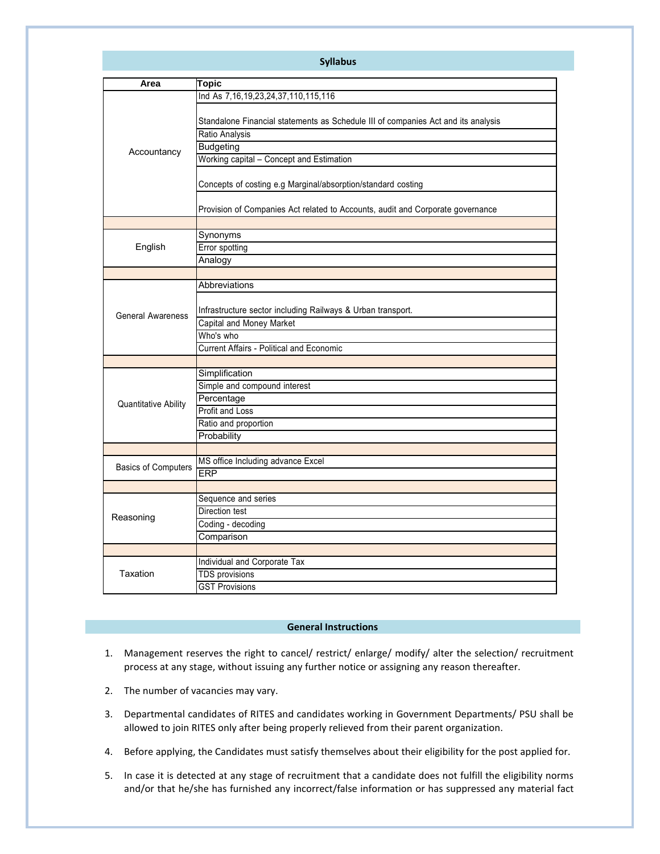| <b>Syllabus</b>             |                                                                                                                                                                          |  |  |  |
|-----------------------------|--------------------------------------------------------------------------------------------------------------------------------------------------------------------------|--|--|--|
| Area                        | Topic                                                                                                                                                                    |  |  |  |
|                             | Ind As 7, 16, 19, 23, 24, 37, 110, 115, 116                                                                                                                              |  |  |  |
| Accountancy                 | Standalone Financial statements as Schedule III of companies Act and its analysis<br>Ratio Analysis<br><b>Budgeting</b><br>Working capital - Concept and Estimation      |  |  |  |
|                             | Concepts of costing e.g Marginal/absorption/standard costing                                                                                                             |  |  |  |
|                             | Provision of Companies Act related to Accounts, audit and Corporate governance                                                                                           |  |  |  |
| English                     | Synonyms<br>Error spotting<br>Analogy                                                                                                                                    |  |  |  |
|                             |                                                                                                                                                                          |  |  |  |
| <b>General Awareness</b>    | Abbreviations<br>Infrastructure sector including Railways & Urban transport.<br>Capital and Money Market<br>Who's who<br><b>Current Affairs - Political and Economic</b> |  |  |  |
|                             |                                                                                                                                                                          |  |  |  |
| <b>Quantitative Ability</b> | Simplification<br>Simple and compound interest<br>Percentage<br><b>Profit and Loss</b><br>Ratio and proportion<br>Probability                                            |  |  |  |
|                             |                                                                                                                                                                          |  |  |  |
| <b>Basics of Computers</b>  | MS office Including advance Excel<br>ERP                                                                                                                                 |  |  |  |
|                             |                                                                                                                                                                          |  |  |  |
| Reasoning                   | Sequence and series<br>Direction test<br>Coding - decoding<br>Comparison                                                                                                 |  |  |  |
|                             |                                                                                                                                                                          |  |  |  |
| Taxation                    | Individual and Corporate Tax<br><b>TDS</b> provisions<br><b>GST Provisions</b>                                                                                           |  |  |  |

## **General Instructions**

- 1. Management reserves the right to cancel/ restrict/ enlarge/ modify/ alter the selection/ recruitment process at any stage, without issuing any further notice or assigning any reason thereafter.
- 2. The number of vacancies may vary.
- 3. Departmental candidates of RITES and candidates working in Government Departments/ PSU shall be allowed to join RITES only after being properly relieved from their parent organization.
- 4. Before applying, the Candidates must satisfy themselves about their eligibility for the post applied for.
- 5. In case it is detected at any stage of recruitment that a candidate does not fulfill the eligibility norms and/or that he/she has furnished any incorrect/false information or has suppressed any material fact